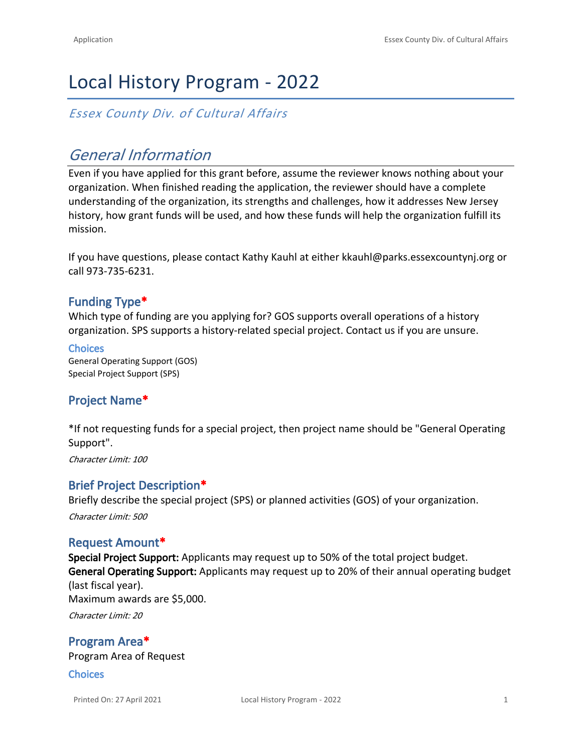# Local History Program - 2022

*Essex County Div. of Cultural Affairs*

# *General Information*

Even if you have applied for this grant before, assume the reviewer knows nothing about your organization. When finished reading the application, the reviewer should have a complete understanding of the organization, its strengths and challenges, how it addresses New Jersey history, how grant funds will be used, and how these funds will help the organization fulfill its mission.

If you have questions, please contact Kathy Kauhl at either kkauhl@parks.essexcountynj.org or call 973-735-6231.

## **Funding Type\***

Which type of funding are you applying for? GOS supports overall operations of a history organization. SPS supports a history-related special project. Contact us if you are unsure.

**Choices** General Operating Support (GOS) Special Project Support (SPS)

# **Project Name\***

\*If not requesting funds for a special project, then project name should be "General Operating Support".

*Character Limit: 100*

#### **Brief Project Description\***

Briefly describe the special project (SPS) or planned activities (GOS) of your organization. *Character Limit: 500*

#### **Request Amount\***

**Special Project Support:** Applicants may request up to 50% of the total project budget. **General Operating Support:** Applicants may request up to 20% of their annual operating budget (last fiscal year). Maximum awards are \$5,000.

*Character Limit: 20*

**Program Area\*** Program Area of Request

**Choices**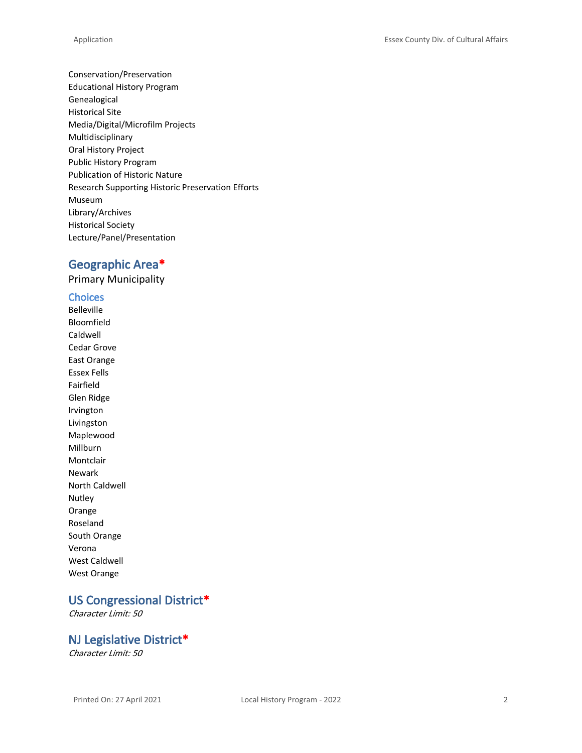Conservation/Preservation Educational History Program Genealogical Historical Site Media/Digital/Microfilm Projects Multidisciplinary Oral History Project Public History Program Publication of Historic Nature Research Supporting Historic Preservation Efforts Museum Library/Archives Historical Society Lecture/Panel/Presentation

## **Geographic Area\***

Primary Municipality

#### **Choices**

Belleville Bloomfield Caldwell Cedar Grove East Orange Essex Fells Fairfield Glen Ridge Irvington Livingston Maplewood Millburn Montclair Newark North Caldwell Nutley Orange Roseland South Orange Verona West Caldwell West Orange

# **US Congressional District\***

*Character Limit: 50*

#### **NJ Legislative District\***

*Character Limit: 50*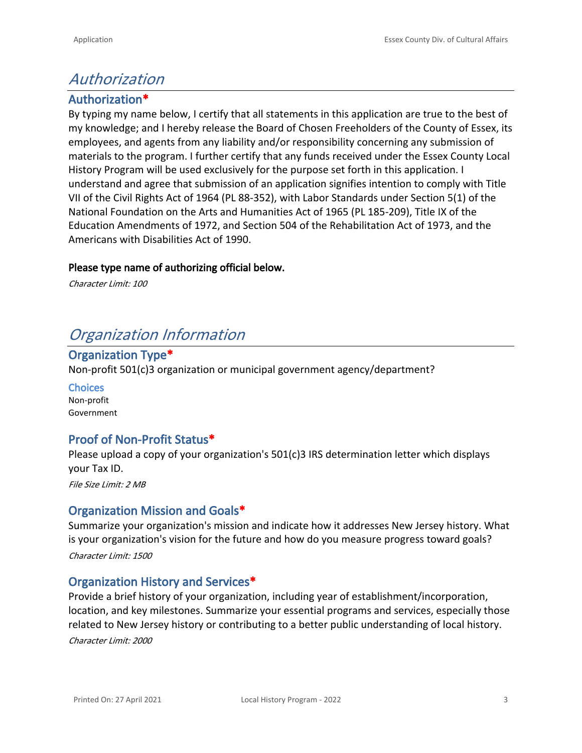# *Authorization*

# **Authorization\***

By typing my name below, I certify that all statements in this application are true to the best of my knowledge; and I hereby release the Board of Chosen Freeholders of the County of Essex, its employees, and agents from any liability and/or responsibility concerning any submission of materials to the program. I further certify that any funds received under the Essex County Local History Program will be used exclusively for the purpose set forth in this application. I understand and agree that submission of an application signifies intention to comply with Title VII of the Civil Rights Act of 1964 (PL 88-352), with Labor Standards under Section 5(1) of the National Foundation on the Arts and Humanities Act of 1965 (PL 185-209), Title IX of the Education Amendments of 1972, and Section 504 of the Rehabilitation Act of 1973, and the Americans with Disabilities Act of 1990.

#### **Please type name of authorizing official below.**

*Character Limit: 100*

# *Organization Information*

## **Organization Type\***

Non-profit 501(c)3 organization or municipal government agency/department?

**Choices** Non-profit Government

## **Proof of Non-Profit Status\***

Please upload a copy of your organization's 501(c)3 IRS determination letter which displays your Tax ID.

*File Size Limit: 2 MB*

## **Organization Mission and Goals\***

Summarize your organization's mission and indicate how it addresses New Jersey history. What is your organization's vision for the future and how do you measure progress toward goals? *Character Limit: 1500*

#### **Organization History and Services\***

Provide a brief history of your organization, including year of establishment/incorporation, location, and key milestones. Summarize your essential programs and services, especially those related to New Jersey history or contributing to a better public understanding of local history. *Character Limit: 2000*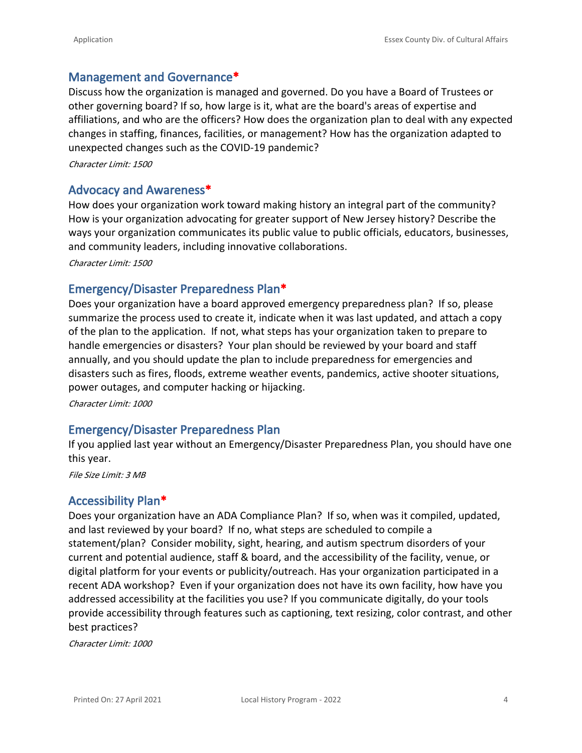#### **Management and Governance\***

Discuss how the organization is managed and governed. Do you have a Board of Trustees or other governing board? If so, how large is it, what are the board's areas of expertise and affiliations, and who are the officers? How does the organization plan to deal with any expected changes in staffing, finances, facilities, or management? How has the organization adapted to unexpected changes such as the COVID-19 pandemic?

*Character Limit: 1500*

#### **Advocacy and Awareness\***

How does your organization work toward making history an integral part of the community? How is your organization advocating for greater support of New Jersey history? Describe the ways your organization communicates its public value to public officials, educators, businesses, and community leaders, including innovative collaborations.

*Character Limit: 1500*

#### **Emergency/Disaster Preparedness Plan\***

Does your organization have a board approved emergency preparedness plan? If so, please summarize the process used to create it, indicate when it was last updated, and attach a copy of the plan to the application. If not, what steps has your organization taken to prepare to handle emergencies or disasters? Your plan should be reviewed by your board and staff annually, and you should update the plan to include preparedness for emergencies and disasters such as fires, floods, extreme weather events, pandemics, active shooter situations, power outages, and computer hacking or hijacking.

*Character Limit: 1000*

#### **Emergency/Disaster Preparedness Plan**

If you applied last year without an Emergency/Disaster Preparedness Plan, you should have one this year.

*File Size Limit: 3 MB*

#### **Accessibility Plan\***

Does your organization have an ADA Compliance Plan? If so, when was it compiled, updated, and last reviewed by your board? If no, what steps are scheduled to compile a statement/plan? Consider mobility, sight, hearing, and autism spectrum disorders of your current and potential audience, staff & board, and the accessibility of the facility, venue, or digital platform for your events or publicity/outreach. Has your organization participated in a recent ADA workshop? Even if your organization does not have its own facility, how have you addressed accessibility at the facilities you use? If you communicate digitally, do your tools provide accessibility through features such as captioning, text resizing, color contrast, and other best practices?

*Character Limit: 1000*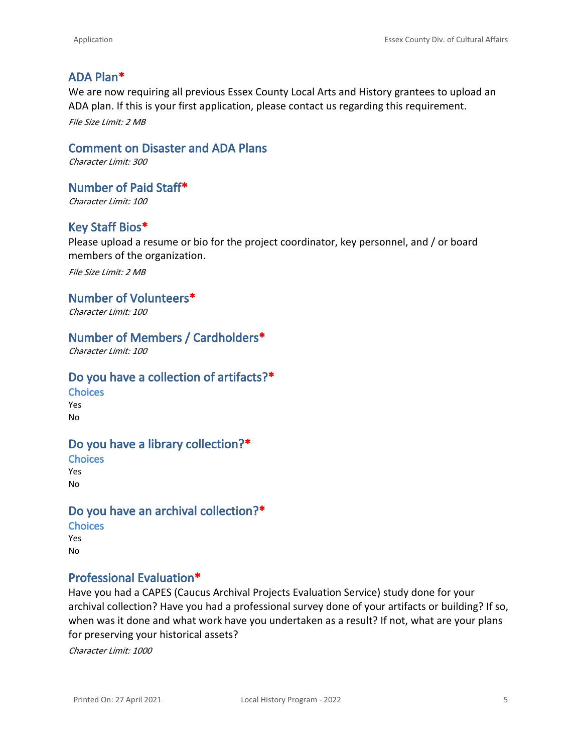### **ADA Plan\***

We are now requiring all previous Essex County Local Arts and History grantees to upload an ADA plan. If this is your first application, please contact us regarding this requirement. *File Size Limit: 2 MB*

**Comment on Disaster and ADA Plans** *Character Limit: 300*

**Number of Paid Staff\*** *Character Limit: 100*

# **Key Staff Bios\***

Please upload a resume or bio for the project coordinator, key personnel, and / or board members of the organization.

*File Size Limit: 2 MB*

#### **Number of Volunteers\***

*Character Limit: 100*

#### **Number of Members / Cardholders\***

*Character Limit: 100*

#### **Do you have a collection of artifacts?\***

**Choices** Yes No

#### **Do you have a library collection?\***

**Choices** Yes No

# **Do you have an archival collection?\***

**Choices** Yes No

#### **Professional Evaluation\***

Have you had a CAPES (Caucus Archival Projects Evaluation Service) study done for your archival collection? Have you had a professional survey done of your artifacts or building? If so, when was it done and what work have you undertaken as a result? If not, what are your plans for preserving your historical assets?

*Character Limit: 1000*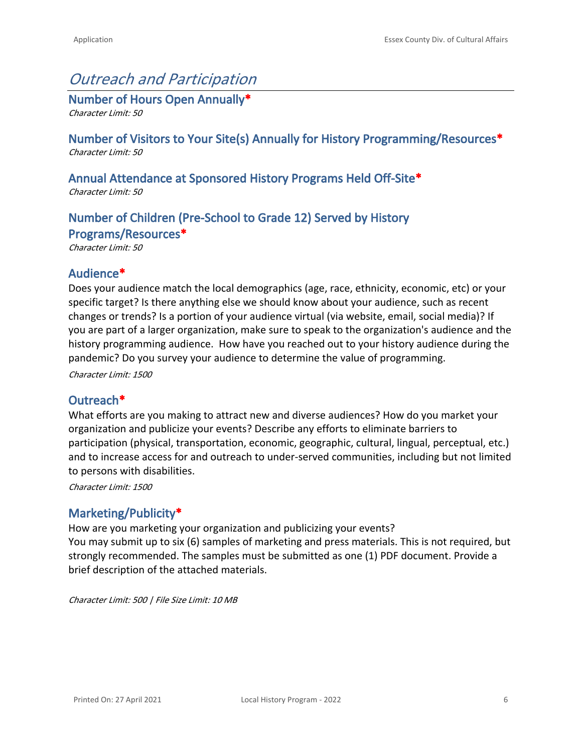# *Outreach and Participation*

**Number of Hours Open Annually\*** *Character Limit: 50*

**Number of Visitors to Your Site(s) Annually for History Programming/Resources\*** *Character Limit: 50*

# **Annual Attendance at Sponsored History Programs Held Off-Site\***

*Character Limit: 50*

# **Number of Children (Pre-School to Grade 12) Served by History Programs/Resources\***

*Character Limit: 50*

#### **Audience\***

Does your audience match the local demographics (age, race, ethnicity, economic, etc) or your specific target? Is there anything else we should know about your audience, such as recent changes or trends? Is a portion of your audience virtual (via website, email, social media)? If you are part of a larger organization, make sure to speak to the organization's audience and the history programming audience. How have you reached out to your history audience during the pandemic? Do you survey your audience to determine the value of programming.

*Character Limit: 1500*

#### **Outreach\***

What efforts are you making to attract new and diverse audiences? How do you market your organization and publicize your events? Describe any efforts to eliminate barriers to participation (physical, transportation, economic, geographic, cultural, lingual, perceptual, etc.) and to increase access for and outreach to under-served communities, including but not limited to persons with disabilities.

*Character Limit: 1500*

## **Marketing/Publicity\***

How are you marketing your organization and publicizing your events? You may submit up to six (6) samples of marketing and press materials. This is not required, but strongly recommended. The samples must be submitted as one (1) PDF document. Provide a brief description of the attached materials.

*Character Limit: 500 | File Size Limit: 10 MB*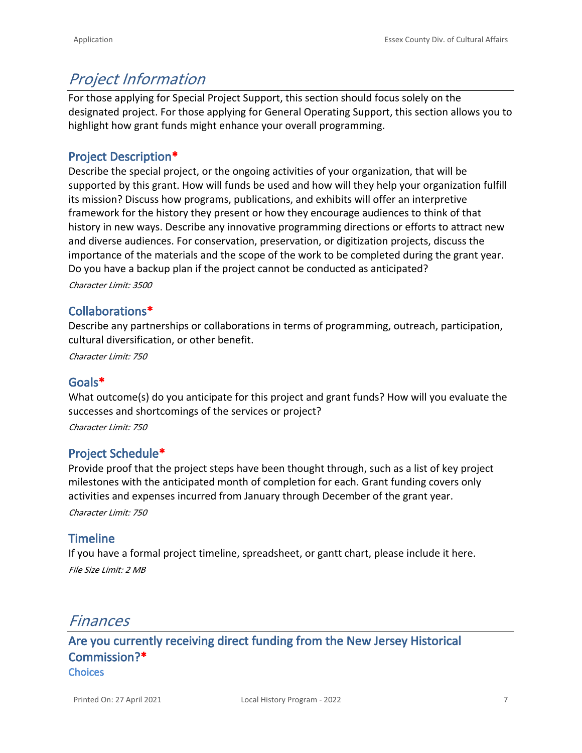# *Project Information*

For those applying for Special Project Support, this section should focus solely on the designated project. For those applying for General Operating Support, this section allows you to highlight how grant funds might enhance your overall programming.

## **Project Description\***

Describe the special project, or the ongoing activities of your organization, that will be supported by this grant. How will funds be used and how will they help your organization fulfill its mission? Discuss how programs, publications, and exhibits will offer an interpretive framework for the history they present or how they encourage audiences to think of that history in new ways. Describe any innovative programming directions or efforts to attract new and diverse audiences. For conservation, preservation, or digitization projects, discuss the importance of the materials and the scope of the work to be completed during the grant year. Do you have a backup plan if the project cannot be conducted as anticipated?

*Character Limit: 3500*

#### **Collaborations\***

Describe any partnerships or collaborations in terms of programming, outreach, participation, cultural diversification, or other benefit.

*Character Limit: 750*

#### **Goals\***

What outcome(s) do you anticipate for this project and grant funds? How will you evaluate the successes and shortcomings of the services or project?

*Character Limit: 750*

#### **Project Schedule\***

Provide proof that the project steps have been thought through, such as a list of key project milestones with the anticipated month of completion for each. Grant funding covers only activities and expenses incurred from January through December of the grant year.

*Character Limit: 750*

## **Timeline**

If you have a formal project timeline, spreadsheet, or gantt chart, please include it here. *File Size Limit: 2 MB*

# *Finances*

**Are you currently receiving direct funding from the New Jersey Historical Commission?\* Choices**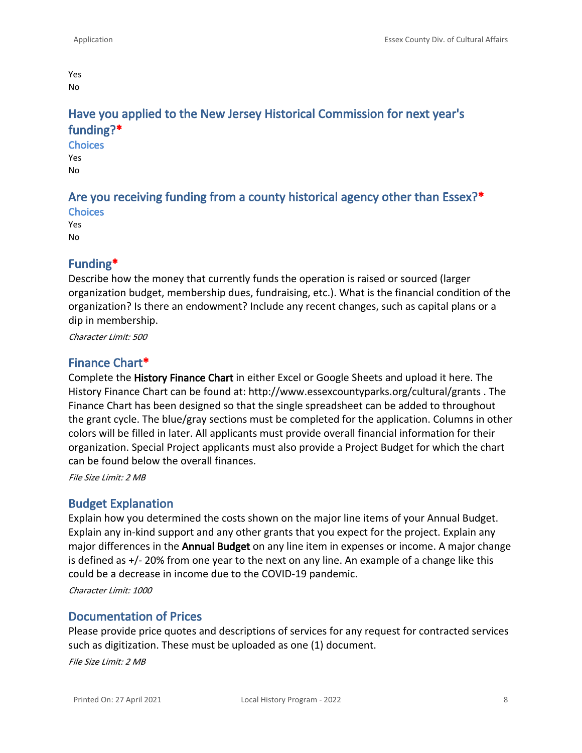Yes No

# **Have you applied to the New Jersey Historical Commission for next year's funding?\***

**Choices** Yes No

#### **Are you receiving funding from a county historical agency other than Essex?\* Choices**

Yes No

#### **Funding\***

Describe how the money that currently funds the operation is raised or sourced (larger organization budget, membership dues, fundraising, etc.). What is the financial condition of the organization? Is there an endowment? Include any recent changes, such as capital plans or a dip in membership.

*Character Limit: 500*

#### **Finance Chart\***

Complete the **History Finance Chart** in either Excel or Google Sheets and upload it here. The History Finance Chart can be found at: http://www.essexcountyparks.org/cultural/grants . The Finance Chart has been designed so that the single spreadsheet can be added to throughout the grant cycle. The blue/gray sections must be completed for the application. Columns in other colors will be filled in later. All applicants must provide overall financial information for their organization. Special Project applicants must also provide a Project Budget for which the chart can be found below the overall finances.

*File Size Limit: 2 MB*

#### **Budget Explanation**

Explain how you determined the costs shown on the major line items of your Annual Budget. Explain any in-kind support and any other grants that you expect for the project. Explain any major differences in the **Annual Budget** on any line item in expenses or income. A major change is defined as +/- 20% from one year to the next on any line. An example of a change like this could be a decrease in income due to the COVID-19 pandemic.

*Character Limit: 1000*

#### **Documentation of Prices**

Please provide price quotes and descriptions of services for any request for contracted services such as digitization. These must be uploaded as one (1) document. *File Size Limit: 2 MB*